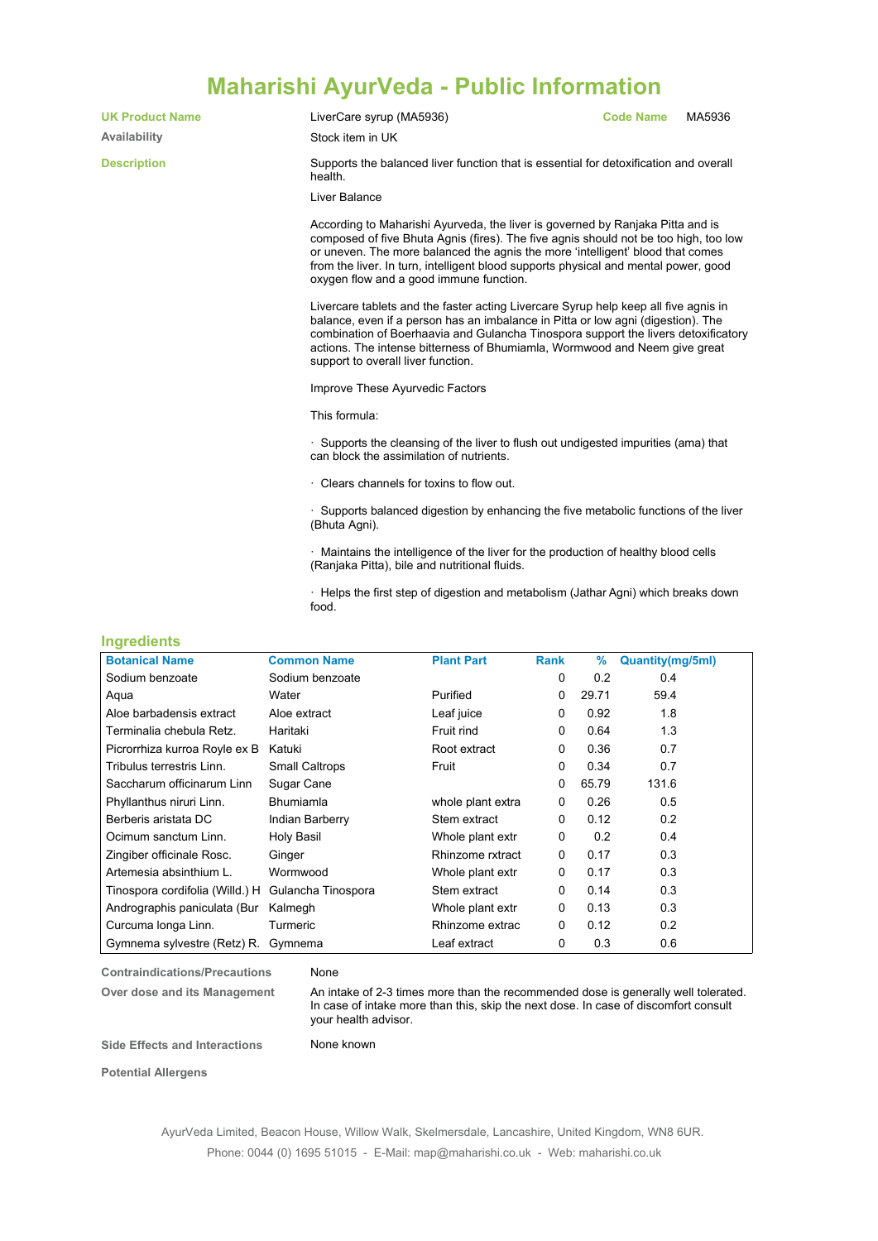## **Maharishi AyurVeda - Public Information**

**UK Product Name** LiverCare syrup (MA5936) **Code Name** MA5936 **Availability** Stock item in UK **Description** Supports the balanced liver function that is essential for detoxification and overall health. **Ingredients** Liver Balance According to Maharishi Ayurveda, the liver is governed by Ranjaka Pitta and is composed of five Bhuta Agnis (fires). The five agnis should not be too high, too low or uneven. The more balanced the agnis the more 'intelligent' blood that comes from the liver. In turn, intelligent blood supports physical and mental power, good oxygen flow and a good immune function. Livercare tablets and the faster acting Livercare Syrup help keep all five agnis in balance, even if a person has an imbalance in Pitta or low agni (digestion). The combination of Boerhaavia and Gulancha Tinospora support the livers detoxificatory actions. The intense bitterness of Bhumiamla, Wormwood and Neem give great support to overall liver function. Improve These Ayurvedic Factors This formula: · Supports the cleansing of the liver to flush out undigested impurities (ama) that can block the assimilation of nutrients. Clears channels for toxins to flow out. · Supports balanced digestion by enhancing the five metabolic functions of the liver (Bhuta Agni). · Maintains the intelligence of the liver for the production of healthy blood cells (Ranjaka Pitta), bile and nutritional fluids. · Helps the first step of digestion and metabolism (Jathar Agni) which breaks down food.

| <b>Botanical Name</b>           | <b>Common Name</b>    | <b>Plant Part</b> | Rank     | $\%$  | <b>Quantity(mg/5ml)</b> |
|---------------------------------|-----------------------|-------------------|----------|-------|-------------------------|
| Sodium benzoate                 | Sodium benzoate       |                   | 0        | 0.2   | 0.4                     |
| Aqua                            | Water                 | Purified          | 0        | 29.71 | 59.4                    |
| Aloe barbadensis extract        | Aloe extract          | Leaf juice        | 0        | 0.92  | 1.8                     |
| Terminalia chebula Retz.        | Haritaki              | Fruit rind        | 0        | 0.64  | 1.3                     |
| Picrorrhiza kurroa Royle ex B   | Katuki                | Root extract      | 0        | 0.36  | 0.7                     |
| Tribulus terrestris Linn.       | <b>Small Caltrops</b> | Fruit             | 0        | 0.34  | 0.7                     |
| Saccharum officinarum Linn      | Sugar Cane            |                   | 0        | 65.79 | 131.6                   |
| Phyllanthus niruri Linn.        | <b>Bhumiamla</b>      | whole plant extra | 0        | 0.26  | 0.5                     |
| Berberis aristata DC            | Indian Barberry       | Stem extract      | 0        | 0.12  | 0.2                     |
| Ocimum sanctum Linn.            | Holy Basil            | Whole plant extr  | 0        | 0.2   | 0.4                     |
| Zingiber officinale Rosc.       | Ginger                | Rhinzome rxtract  | $\Omega$ | 0.17  | 0.3                     |
| Artemesia absinthium L.         | Wormwood              | Whole plant extr  | 0        | 0.17  | 0.3                     |
| Tinospora cordifolia (Willd.) H | Gulancha Tinospora    | Stem extract      | 0        | 0.14  | 0.3                     |
| Andrographis paniculata (Bur    | Kalmegh               | Whole plant extr  | 0        | 0.13  | 0.3                     |
| Curcuma longa Linn.             | Turmeric              | Rhinzome extrac   | 0        | 0.12  | 0.2                     |
| Gymnema sylvestre (Retz) R.     | Gymnema               | Leaf extract      | 0        | 0.3   | 0.6                     |

**Contraindications/Precautions** None

**Over dose and its Management** An intake of 2-3 times more than the recommended dose is generally well tolerated. In case of intake more than this, skip the next dose. In case of discomfort consult your health advisor.

**Side Effects and Interactions** None known

**Potential Allergens**

AyurVeda Limited, Beacon House, Willow Walk, Skelmersdale, Lancashire, United Kingdom, WN8 6UR. Phone: 0044 (0) 1695 51015 - E-Mail: map@maharishi.co.uk - Web: maharishi.co.uk